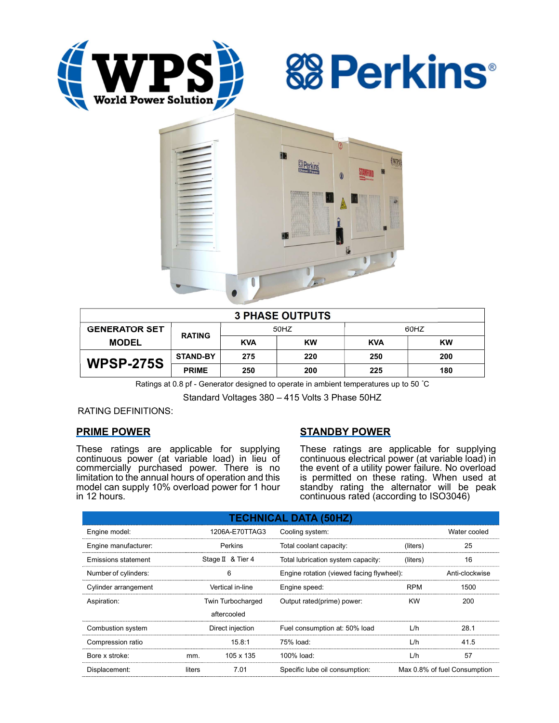





| <b>3 PHASE OUTPUTS</b> |                 |            |           |            |           |  |  |  |
|------------------------|-----------------|------------|-----------|------------|-----------|--|--|--|
| <b>GENERATOR SET</b>   | <b>RATING</b>   | 50HZ       |           | 60HZ       |           |  |  |  |
| <b>MODEL</b>           |                 | <b>KVA</b> | <b>KW</b> | <b>KVA</b> | <b>KW</b> |  |  |  |
| <b>WPSP-275S</b>       | <b>STAND-BY</b> | 275        | 220       | 250        | 200       |  |  |  |
|                        | <b>PRIME</b>    | 250        | 200       | 225        | 180       |  |  |  |

Ratings at 0.8 pf - Generator designed to operate in ambient temperatures up to 50 °C

Standard Voltages 380 – 415 Volts 3 Phase 50HZ

RATING DEFINITIONS:

# PRIME POWER

These ratings are applicable for supplying continuous power (at variable load) in lieu of commercially purchased power. There is no limitation to the annual hours of operation and this model can supply 10% overload power for 1 hour in 12 hours.

# STANDBY POWER

These ratings are applicable for supplying continuous electrical power (at variable load) in the event of a utility power failure. No overload is permitted on these rating. When used at standby rating the alternator will be peak continuous rated (according to ISO3046)

| <b>TECHNICAL DATA (50HZ)</b> |                  |                   |                                           |                              |                |  |  |  |  |  |
|------------------------------|------------------|-------------------|-------------------------------------------|------------------------------|----------------|--|--|--|--|--|
| Engine model:                | 1206A-E70TTAG3   |                   | Cooling system:                           | Water cooled                 |                |  |  |  |  |  |
| Engine manufacturer:         | Perkins          |                   | Total coolant capacity:                   | (liters)                     | 25             |  |  |  |  |  |
| Emissions statement          |                  | Stage II & Tier 4 | Total lubrication system capacity:        | (liters)                     | 16             |  |  |  |  |  |
| Number of cylinders:         | 6                |                   | Engine rotation (viewed facing flywheel): |                              | Anti-clockwise |  |  |  |  |  |
| Cylinder arrangement         |                  | Vertical in-line  | Engine speed:                             | <b>RPM</b>                   | 1500           |  |  |  |  |  |
| Aspiration:                  |                  | Twin Turbocharged | Output rated(prime) power:                | <b>KW</b>                    | 200            |  |  |  |  |  |
|                              | aftercooled      |                   |                                           |                              |                |  |  |  |  |  |
| Combustion system            | Direct injection |                   | Fuel consumption at: 50% load             | L/h                          | 28.1           |  |  |  |  |  |
| Compression ratio            |                  | 15.8:1            | 75% load:                                 | L/h                          | 41.5           |  |  |  |  |  |
| Bore x stroke:               | mm.              | 105 x 135         | 100% load:                                | L/h                          | 57             |  |  |  |  |  |
| Displacement:                | liters           | 7.01              | Specific lube oil consumption:            | Max 0.8% of fuel Consumption |                |  |  |  |  |  |